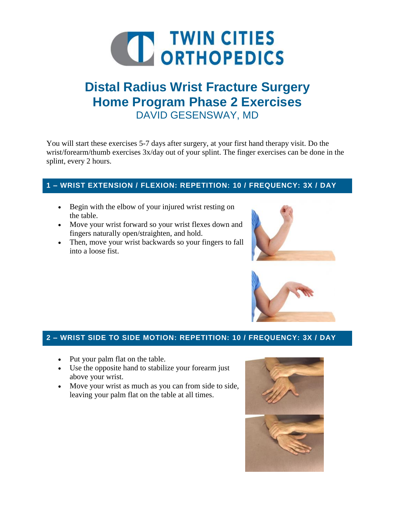

# **Distal Radius Wrist Fracture Surgery Home Program Phase 2 Exercises** DAVID GESENSWAY, MD

You will start these exercises 5-7 days after surgery, at your first hand therapy visit. Do the wrist/forearm/thumb exercises 3x/day out of your splint. The finger exercises can be done in the splint, every 2 hours.

### **1 – WRIST EXTENSION / FLEXION: REPETITION: 10 / FREQUENCY: 3X / DAY**

- Begin with the elbow of your injured wrist resting on the table.
- Move your wrist forward so your wrist flexes down and fingers naturally open/straighten, and hold.
- Then, move your wrist backwards so your fingers to fall into a loose fist.





## **2 – WRIST SIDE TO SIDE MOTION: REPETITION: 10 / FREQUENCY: 3X / DAY**

- Put your palm flat on the table.
- Use the opposite hand to stabilize your forearm just above your wrist.
- Move your wrist as much as you can from side to side, leaving your palm flat on the table at all times.

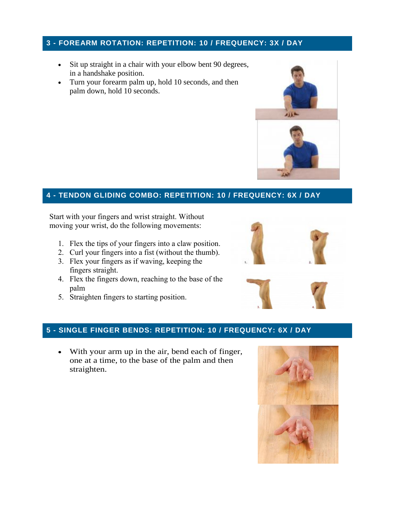#### **3 - FOREARM ROTATION: REPETITION: 10 / FREQUENCY: 3X / DAY**

- Sit up straight in a chair with your elbow bent 90 degrees, in a handshake position.
- Turn your forearm palm up, hold 10 seconds, and then palm down, hold 10 seconds.



#### **4 - TENDON GLIDING COMBO: REPETITION: 10 / FREQUENCY: 6X / DAY**

Start with your fingers and wrist straight. Without moving your wrist, do the following movements:

- 1. Flex the tips of your fingers into a claw position.
- 2. Curl your fingers into a fist (without the thumb).
- 3. Flex your fingers as if waving, keeping the fingers straight.
- 4. Flex the fingers down, reaching to the base of the palm
- 5. Straighten fingers to starting position.



#### **5 - SINGLE FINGER BENDS: REPETITION: 10 / FREQUENCY: 6X / DAY**

 With your arm up in the air, bend each of finger, one at a time, to the base of the palm and then straighten.

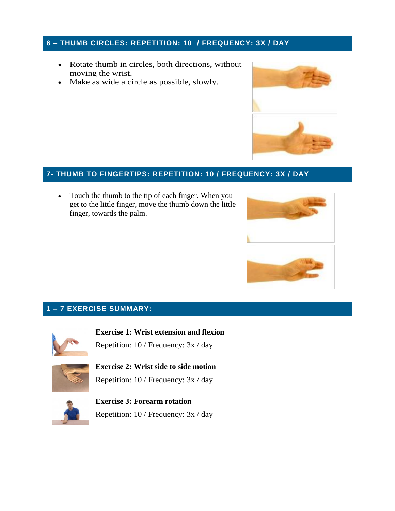#### **6 – THUMB CIRCLES: REPETITION: 10 / FREQUENCY: 3X / DAY**

- Rotate thumb in circles, both directions, without moving the wrist.
- Make as wide a circle as possible, slowly.



### **7- THUMB TO FINGERTIPS: REPETITION: 10 / FREQUENCY: 3X / DAY**

• Touch the thumb to the tip of each finger. When you get to the little finger, move the thumb down the little finger, towards the palm.



#### **1 – 7 EXERCISE SUMMARY:**



**Exercise 1: Wrist extension and flexion** Repetition: 10 / Frequency: 3x / day



**Exercise 2: Wrist side to side motion** Repetition: 10 / Frequency: 3x / day



**Exercise 3: Forearm rotation** Repetition: 10 / Frequency: 3x / day